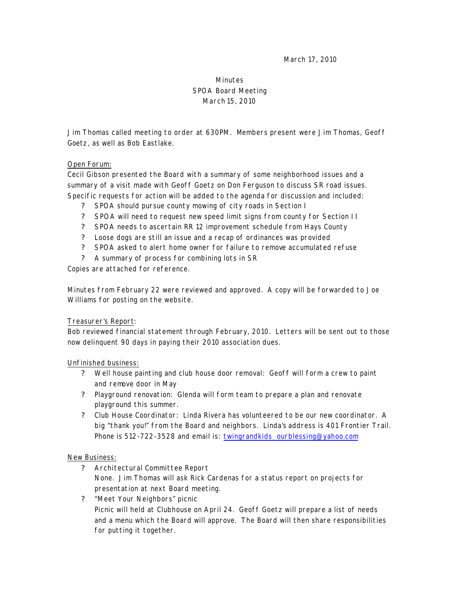March 17, 2010

# Minutes SPOA Board Meeting March 15, 2010

Jim Thomas called meeting to order at 630PM. Members present were Jim Thomas, Geoff Goetz, as well as Bob Eastlake.

### Open Forum:

Cecil Gibson presented the Board with a summary of some neighborhood issues and a summary of a visit made with Geoff Goetz on Don Ferguson to discuss SR road issues. Specific requests for action will be added to the agenda for discussion and included:

- ? SPOA should pursue county mowing of city roads in Section I
- ? SPOA will need to request new speed limit signs from county for Section II
- ? SPOA needs to ascertain RR 12 improvement schedule from Hays County
- ? Loose dogs are still an issue and a recap of ordinances was provided
- ? SPOA asked to alert home owner for failure to remove accumulated refuse
- ? A summary of process for combining lots in SR

Copies are attached for reference.

Minutes from February 22 were reviewed and approved. A copy will be forwarded to Joe Williams for posting on the website.

### Treasurer's Report:

Bob reviewed financial statement through February, 2010. Letters will be sent out to those now delinquent 90 days in paying their 2010 association dues.

### Unfinished business:

- ? Well house painting and club house door removal: Geoff will form a crew to paint and remove door in May
- ? Playground renovation: Glenda will form team to prepare a plan and renovate playground this summer.
- ? Club House Coordinator: Linda Rivera has volunteered to be our new coordinator. A big "thank you!" from the Board and neighbors. Linda's address is 401 Frontier Trail. Phone is 512-722-3528 and email is: twingrandkids\_ourblessing@yahoo.com

### New Business:

- ? Architectural Committee Report None. Jim Thomas will ask Rick Cardenas for a status report on projects for presentation at next Board meeting.
- ? "Meet Your Neighbors" picnic Picnic will held at Clubhouse on April 24. Geoff Goetz will prepare a list of needs and a menu which the Board will approve. The Board will then share responsibilities for putting it together.